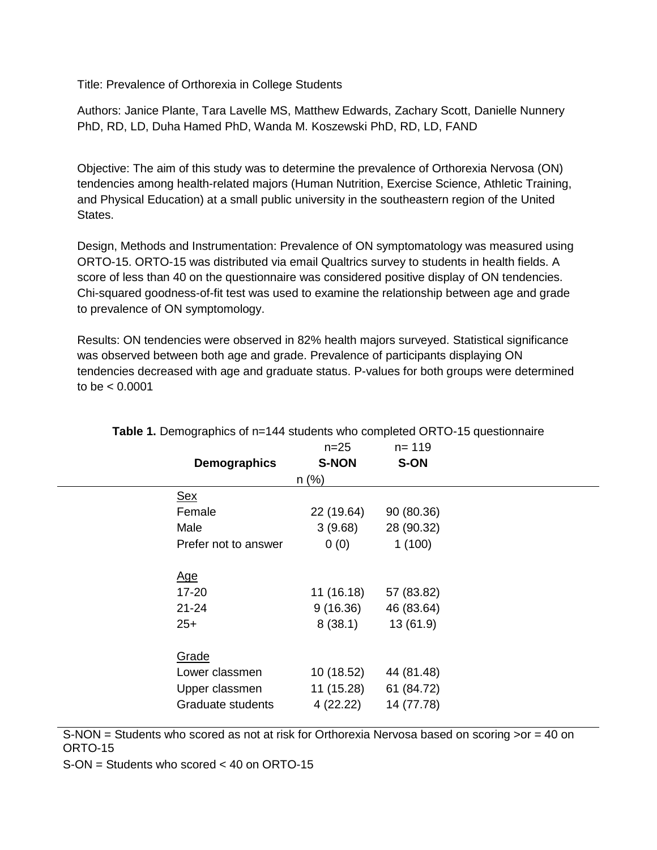Title: Prevalence of Orthorexia in College Students

Authors: Janice Plante, Tara Lavelle MS, Matthew Edwards, Zachary Scott, Danielle Nunnery PhD, RD, LD, Duha Hamed PhD, Wanda M. Koszewski PhD, RD, LD, FAND

Objective: The aim of this study was to determine the prevalence of Orthorexia Nervosa (ON) tendencies among health-related majors (Human Nutrition, Exercise Science, Athletic Training, and Physical Education) at a small public university in the southeastern region of the United States.

Design, Methods and Instrumentation: Prevalence of ON symptomatology was measured using ORTO-15. ORTO-15 was distributed via email Qualtrics survey to students in health fields. A score of less than 40 on the questionnaire was considered positive display of ON tendencies. Chi-squared goodness-of-fit test was used to examine the relationship between age and grade to prevalence of ON symptomology.

Results: ON tendencies were observed in 82% health majors surveyed. Statistical significance was observed between both age and grade. Prevalence of participants displaying ON tendencies decreased with age and graduate status. P-values for both groups were determined to be < 0.0001

|                      | $n = 25$     | $n = 119$  |
|----------------------|--------------|------------|
| <b>Demographics</b>  | <b>S-NON</b> | S-ON       |
|                      | n (%)        |            |
| <u>Sex</u>           |              |            |
| Female               | 22 (19.64)   | 90 (80.36) |
| Male                 | 3(9.68)      | 28 (90.32) |
| Prefer not to answer | 0(0)         | 1(100)     |
| <u>Age</u>           |              |            |
| 17-20                | 11(16.18)    | 57 (83.82) |
| $21 - 24$            | 9(16.36)     | 46 (83.64) |
| $25+$                | 8(38.1)      | 13(61.9)   |
| Grade                |              |            |
| Lower classmen       | 10 (18.52)   | 44 (81.48) |
| Upper classmen       | 11 (15.28)   | 61 (84.72) |
| Graduate students    | 4 (22.22)    | 14 (77.78) |

**Table 1.** Demographics of n=144 students who completed ORTO-15 questionnaire

S-NON = Students who scored as not at risk for Orthorexia Nervosa based on scoring >or = 40 on ORTO-15

S-ON = Students who scored < 40 on ORTO-15